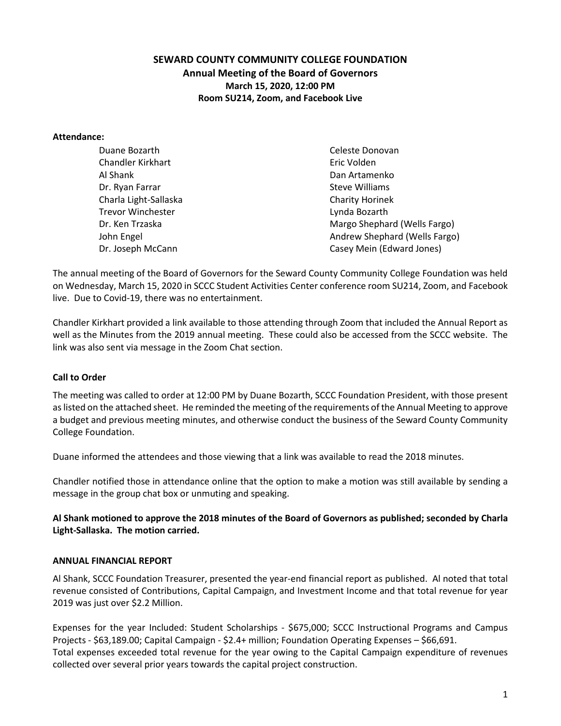# **SEWARD COUNTY COMMUNITY COLLEGE FOUNDATION Annual Meeting of the Board of Governors March 15, 2020, 12:00 PM Room SU214, Zoom, and Facebook Live**

#### **Attendance:**

| Duane Bozarth            | Celeste Donovan               |
|--------------------------|-------------------------------|
| <b>Chandler Kirkhart</b> | Eric Volden                   |
| Al Shank                 | Dan Artamenko                 |
| Dr. Ryan Farrar          | Steve Williams                |
| Charla Light-Sallaska    | <b>Charity Horinek</b>        |
| <b>Trevor Winchester</b> | Lynda Bozarth                 |
| Dr. Ken Trzaska          | Margo Shephard (Wells Fargo)  |
| John Engel               | Andrew Shephard (Wells Fargo) |
| Dr. Joseph McCann        | Casey Mein (Edward Jones)     |

The annual meeting of the Board of Governors for the Seward County Community College Foundation was held on Wednesday, March 15, 2020 in SCCC Student Activities Center conference room SU214, Zoom, and Facebook live. Due to Covid-19, there was no entertainment.

Chandler Kirkhart provided a link available to those attending through Zoom that included the Annual Report as well as the Minutes from the 2019 annual meeting. These could also be accessed from the SCCC website. The link was also sent via message in the Zoom Chat section.

## **Call to Order**

The meeting was called to order at 12:00 PM by Duane Bozarth, SCCC Foundation President, with those present as listed on the attached sheet. He reminded the meeting of the requirements of the Annual Meeting to approve a budget and previous meeting minutes, and otherwise conduct the business of the Seward County Community College Foundation.

Duane informed the attendees and those viewing that a link was available to read the 2018 minutes.

Chandler notified those in attendance online that the option to make a motion was still available by sending a message in the group chat box or unmuting and speaking.

**Al Shank motioned to approve the 2018 minutes of the Board of Governors as published; seconded by Charla Light-Sallaska. The motion carried.**

## **ANNUAL FINANCIAL REPORT**

Al Shank, SCCC Foundation Treasurer, presented the year-end financial report as published. Al noted that total revenue consisted of Contributions, Capital Campaign, and Investment Income and that total revenue for year 2019 was just over \$2.2 Million.

Expenses for the year Included: Student Scholarships - \$675,000; SCCC Instructional Programs and Campus Projects - \$63,189.00; Capital Campaign - \$2.4+ million; Foundation Operating Expenses – \$66,691. Total expenses exceeded total revenue for the year owing to the Capital Campaign expenditure of revenues collected over several prior years towards the capital project construction.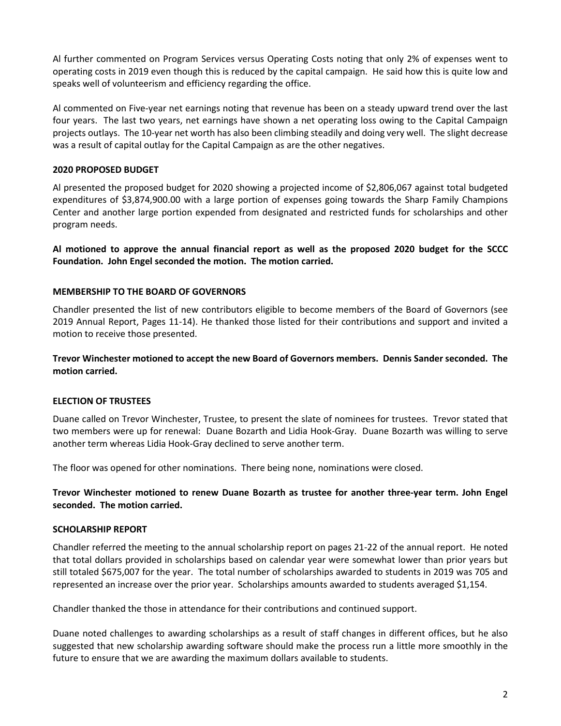Al further commented on Program Services versus Operating Costs noting that only 2% of expenses went to operating costs in 2019 even though this is reduced by the capital campaign. He said how this is quite low and speaks well of volunteerism and efficiency regarding the office.

Al commented on Five-year net earnings noting that revenue has been on a steady upward trend over the last four years. The last two years, net earnings have shown a net operating loss owing to the Capital Campaign projects outlays. The 10-year net worth has also been climbing steadily and doing very well. The slight decrease was a result of capital outlay for the Capital Campaign as are the other negatives.

# **2020 PROPOSED BUDGET**

Al presented the proposed budget for 2020 showing a projected income of \$2,806,067 against total budgeted expenditures of \$3,874,900.00 with a large portion of expenses going towards the Sharp Family Champions Center and another large portion expended from designated and restricted funds for scholarships and other program needs.

**Al motioned to approve the annual financial report as well as the proposed 2020 budget for the SCCC Foundation. John Engel seconded the motion. The motion carried.**

# **MEMBERSHIP TO THE BOARD OF GOVERNORS**

Chandler presented the list of new contributors eligible to become members of the Board of Governors (see 2019 Annual Report, Pages 11-14). He thanked those listed for their contributions and support and invited a motion to receive those presented.

**Trevor Winchester motioned to accept the new Board of Governors members. Dennis Sander seconded. The motion carried.**

## **ELECTION OF TRUSTEES**

Duane called on Trevor Winchester, Trustee, to present the slate of nominees for trustees. Trevor stated that two members were up for renewal: Duane Bozarth and Lidia Hook-Gray. Duane Bozarth was willing to serve another term whereas Lidia Hook-Gray declined to serve another term.

The floor was opened for other nominations. There being none, nominations were closed.

**Trevor Winchester motioned to renew Duane Bozarth as trustee for another three-year term. John Engel seconded. The motion carried.**

## **SCHOLARSHIP REPORT**

Chandler referred the meeting to the annual scholarship report on pages 21-22 of the annual report. He noted that total dollars provided in scholarships based on calendar year were somewhat lower than prior years but still totaled \$675,007 for the year. The total number of scholarships awarded to students in 2019 was 705 and represented an increase over the prior year. Scholarships amounts awarded to students averaged \$1,154.

Chandler thanked the those in attendance for their contributions and continued support.

Duane noted challenges to awarding scholarships as a result of staff changes in different offices, but he also suggested that new scholarship awarding software should make the process run a little more smoothly in the future to ensure that we are awarding the maximum dollars available to students.